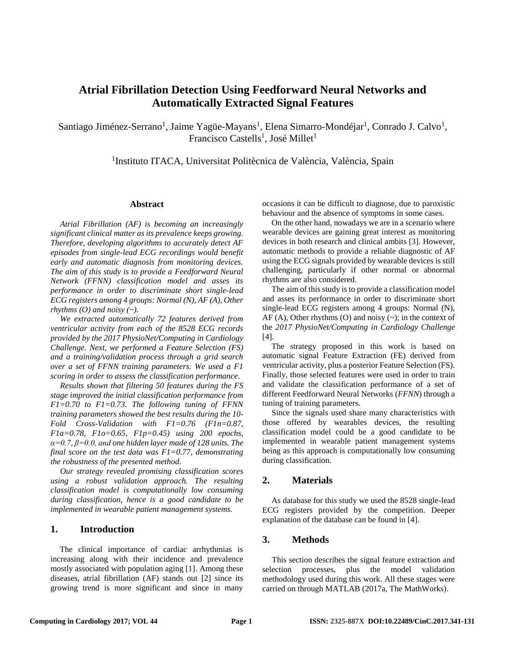# **Atrial Fibrillation Detection Using Feedforward Neural Networks and Automatically Extracted Signal Features**

Santiago Jiménez-Serrano<sup>1</sup>, Jaime Yagüe-Mayans<sup>1</sup>, Elena Simarro-Mondéjar<sup>1</sup>, Conrado J. Calvo<sup>1</sup>, Francisco Castells<sup>1</sup>, José Millet<sup>1</sup>

<sup>1</sup>Instituto ITACA, Universitat Politècnica de València, València, Spain

#### **Abstract**

*Atrial Fibrillation (AF) is becoming an increasingly significant clinical matter as its prevalence keeps growing. Therefore, developing algorithms to accurately detect AF episodes from single-lead ECG recordings would benefit early and automatic diagnosis from monitoring devices. The aim of this study is to provide a Feedforward Neural Network (FFNN) classification model and asses its performance in order to discriminate short single-lead ECG registers among 4 groups: Normal (N), AF (A), Other rhythms (O) and noisy (~).*

*We extracted automatically 72 features derived from ventricular activity from each of the 8528 ECG records provided by the 2017 PhysioNet/Computing in Cardiology Challenge. Next, we performed a Feature Selection (FS) and a training/validation process through a grid search over a set of FFNN training parameters. We used a F1 scoring in order to assess the classification performance.*

*Results shown that filtering 50 features during the FS stage improved the initial classification performance from F1=0.70 to F1=0.73. The following tuning of FFNN training parameters showed the best results during the 10- Fold Cross-Validation with F1=0.76 (F1n=0.87, F1a=0.78, F1o=0.65, F1p=0.45) using 200 epochs, α=0.7, β=0.0, and one hidden layer made of 128 units. The final score on the test data was F1=0.77, demonstrating the robustness of the presented method.*

*Our strategy revealed promising classification scores using a robust validation approach. The resulting classification model is computationally low consuming during classification, hence is a good candidate to be implemented in wearable patient management systems.*

## **1. Introduction**

The clinical importance of cardiac arrhythmias is increasing along with their incidence and prevalence mostly associated with population aging [1]. Among these diseases, atrial fibrillation (AF) stands out [2] since its growing trend is more significant and since in many occasions it can be difficult to diagnose, due to paroxistic behaviour and the absence of symptoms in some cases.

On the other hand, nowadays we are in a scenario where wearable devices are gaining great interest as monitoring devices in both research and clinical ambits [3]. However, automatic methods to provide a reliable diagnostic of AF using the ECG signals provided by wearable devices is still challenging, particularly if other normal or abnormal rhythms are also considered.

The aim of this study is to provide a classification model and asses its performance in order to discriminate short single-lead ECG registers among 4 groups: Normal (N),  $AF (A)$ , Other rhythms  $(O)$  and noisy  $(\sim)$ ; in the context of the *2017 PhysioNet/Computing in Cardiology Challenge* [4].

The strategy proposed in this work is based on automatic signal Feature Extraction (FE) derived from ventricular activity, plus a posterior Feature Selection (FS). Finally, those selected features were used in order to train and validate the classification performance of a set of different Feedforward Neural Networks (*FFNN*) through a tuning of training parameters.

Since the signals used share many characteristics with those offered by wearables devices, the resulting classification model could be a good candidate to be implemented in wearable patient management systems being as this approach is computationally low consuming during classification.

#### **2. Materials**

As database for this study we used the 8528 single-lead ECG registers provided by the competition. Deeper explanation of the database can be found in [4].

## **3. Methods**

This section describes the signal feature extraction and selection processes, plus the model validation methodology used during this work. All these stages were carried on through MATLAB (2017a, The MathWorks).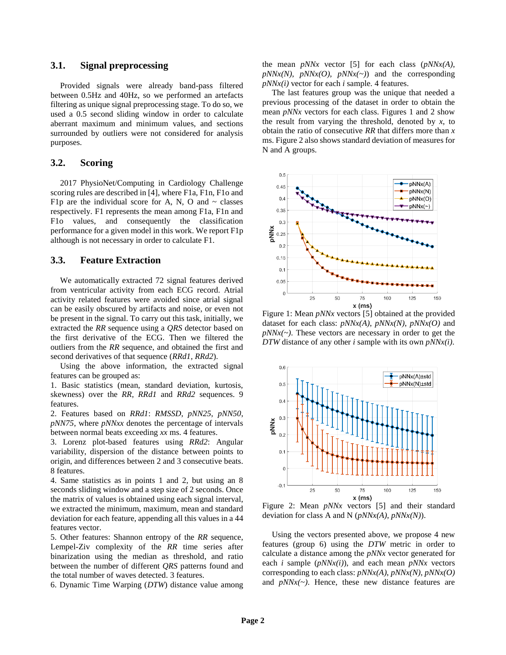#### **3.1. Signal preprocessing**

Provided signals were already band-pass filtered between 0.5Hz and 40Hz, so we performed an artefacts filtering as unique signal preprocessing stage. To do so, we used a 0.5 second sliding window in order to calculate aberrant maximum and minimum values, and sections surrounded by outliers were not considered for analysis purposes.

# **3.2. Scoring**

2017 PhysioNet/Computing in Cardiology Challenge scoring rules are described in [4], where F1a, F1n, F1o and F1p are the individual score for A, N, O and  $\sim$  classes respectively. F1 represents the mean among F1a, F1n and F1o values, and consequently the classification performance for a given model in this work. We report F1p although is not necessary in order to calculate F1.

# **3.3. Feature Extraction**

We automatically extracted 72 signal features derived from ventricular activity from each ECG record. Atrial activity related features were avoided since atrial signal can be easily obscured by artifacts and noise, or even not be present in the signal. To carry out this task, initially, we extracted the *RR* sequence using a *QRS* detector based on the first derivative of the ECG. Then we filtered the outliers from the *RR* sequence, and obtained the first and second derivatives of that sequence (*RRd1*, *RRd2*).

Using the above information, the extracted signal features can be grouped as:

1. Basic statistics (mean, standard deviation, kurtosis, skewness) over the *RR*, *RRd1* and *RRd2* sequences. 9 features.

2. Features based on *RRd1*: *RMSSD*, *pNN25*, *pNN50*, *pNN75*, where *pNNxx* denotes the percentage of intervals between normal beats exceeding *xx* ms. 4 features.

3. Lorenz plot-based features using *RRd2*: Angular variability, dispersion of the distance between points to origin, and differences between 2 and 3 consecutive beats. 8 features.

4. Same statistics as in points 1 and 2, but using an 8 seconds sliding window and a step size of 2 seconds. Once the matrix of values is obtained using each signal interval, we extracted the minimum, maximum, mean and standard deviation for each feature, appending all this values in a 44 features vector.

5. Other features: Shannon entropy of the *RR* sequence, Lempel-Ziv complexity of the *RR* time series after binarization using the median as threshold, and ratio between the number of different *QRS* patterns found and the total number of waves detected. 3 features.

6. Dynamic Time Warping (*DTW*) distance value among

the mean *pNNx* vector [5] for each class (*pNNx(A)*,  $pNNx(N)$ ,  $pNNx(O)$ ,  $pNNx(\sim)$  and the corresponding *pNNx(i)* vector for each *i* sample. 4 features.

The last features group was the unique that needed a previous processing of the dataset in order to obtain the mean *pNNx* vectors for each class. Figures 1 and 2 show the result from varying the threshold, denoted by *x*, to obtain the ratio of consecutive *RR* that differs more than *x* ms. Figure 2 also shows standard deviation of measures for N and A groups.



Figure 1: Mean *pNNx* vectors [5] obtained at the provided dataset for each class: *pNNx(A)*, *pNNx(N)*, *pNNx(O)* and  $pNNx(-)$ . These vectors are necessary in order to get the *DTW* distance of any other *i* sample with its own *pNNx(i)*.



Figure 2: Mean *pNNx* vectors [5] and their standard deviation for class A and N (*pNNx(A)*, *pNNx(N)*).

Using the vectors presented above, we propose 4 new features (group 6) using the *DTW* metric in order to calculate a distance among the *pNNx* vector generated for each *i* sample (*pNNx(i)*), and each mean *pNNx* vectors corresponding to each class: *pNNx(A)*, *pNNx(N)*, *pNNx(O)* and  $pNNx(\sim)$ . Hence, these new distance features are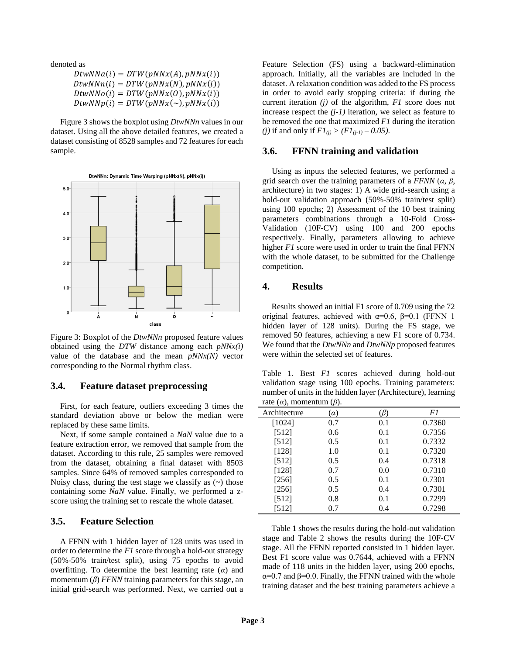denoted as

| $DtwNNa(i) = DTW(pNNx(A), pNNx(i))$    |  |
|----------------------------------------|--|
| $DtwNNn(i) = DTW(pNNx(N), pNNx(i))$    |  |
| $DtwNNo(i) = DTW(pNNx(0), pNNx(i))$    |  |
| $DtwNNp(i) = DTW(pNNx(\sim), pNNx(i))$ |  |

Figure 3 shows the boxplot using *DtwNNn* values in our dataset. Using all the above detailed features, we created a dataset consisting of 8528 samples and 72 features for each sample.



Figure 3: Boxplot of the *DtwNNn* proposed feature values obtained using the *DTW* distance among each *pNNx(i)* value of the database and the mean *pNNx(N)* vector corresponding to the Normal rhythm class.

### **3.4. Feature dataset preprocessing**

First, for each feature, outliers exceeding 3 times the standard deviation above or below the median were replaced by these same limits.

Next, if some sample contained a *NaN* value due to a feature extraction error, we removed that sample from the dataset. According to this rule, 25 samples were removed from the dataset, obtaining a final dataset with 8503 samples. Since 64% of removed samples corresponded to Noisy class, during the test stage we classify as  $(\sim)$  those containing some *NaN* value. Finally, we performed a zscore using the training set to rescale the whole dataset.

#### **3.5. Feature Selection**

A FFNN with 1 hidden layer of 128 units was used in order to determine the *F1* score through a hold-out strategy (50%-50% train/test split), using 75 epochs to avoid overfitting. To determine the best learning rate (*α*) and momentum (*β*) *FFNN* training parameters for this stage, an initial grid-search was performed. Next, we carried out a

Feature Selection (FS) using a backward-elimination approach. Initially, all the variables are included in the dataset. A relaxation condition was added to the FS process in order to avoid early stopping criteria: if during the current iteration *(j)* of the algorithm, *F1* score does not increase respect the  $(j-1)$  iteration, we select as feature to be removed the one that maximized *F1* during the iteration *(j)* if and only if  $FI_{(j)}$  >  $(FI_{(j-1)} - 0.05)$ .

#### **3.6. FFNN training and validation**

Using as inputs the selected features, we performed a grid search over the training parameters of a *FFNN* (*α*, *β*, architecture) in two stages: 1) A wide grid-search using a hold-out validation approach (50%-50% train/test split) using 100 epochs; 2) Assessment of the 10 best training parameters combinations through a 10-Fold Cross-Validation (10F-CV) using 100 and 200 epochs respectively. Finally, parameters allowing to achieve higher *F1* score were used in order to train the final FFNN with the whole dataset, to be submitted for the Challenge competition.

# **4. Results**

Results showed an initial F1 score of 0.709 using the 72 original features, achieved with  $\alpha$ =0.6, β=0.1 (FFNN 1 hidden layer of 128 units). During the FS stage, we removed 50 features, achieving a new F1 score of 0.734. We found that the *DtwNNn* and *DtwNNp* proposed features were within the selected set of features.

Table 1. Best *F1* scores achieved during hold-out validation stage using 100 epochs. Training parameters: number of units in the hidden layer (Architecture), learning rate (*α*), momentum (*β*).

| $\cdots$ $\cdots$ | v.,        |     |        |
|-------------------|------------|-----|--------|
| Architecture      | $(\alpha)$ | (B) | F1     |
| [1024]            | 0.7        | 0.1 | 0.7360 |
| $[512]$           | 0.6        | 0.1 | 0.7356 |
| [512]             | 0.5        | 0.1 | 0.7332 |
| [128]             | 1.0        | 0.1 | 0.7320 |
| [512]             | 0.5        | 0.4 | 0.7318 |
| $[128]$           | 0.7        | 0.0 | 0.7310 |
| $[256]$           | 0.5        | 0.1 | 0.7301 |
| $[256]$           | 0.5        | 0.4 | 0.7301 |
| [512]             | 0.8        | 0.1 | 0.7299 |
| [512]             | 0.7        | 0.4 | 0.7298 |

Table 1 shows the results during the hold-out validation stage and Table 2 shows the results during the 10F-CV stage. All the FFNN reported consisted in 1 hidden layer. Best F1 score value was 0.7644, achieved with a FFNN made of 118 units in the hidden layer, using 200 epochs,  $α=0.7$  and β=0.0. Finally, the FFNN trained with the whole training dataset and the best training parameters achieve a